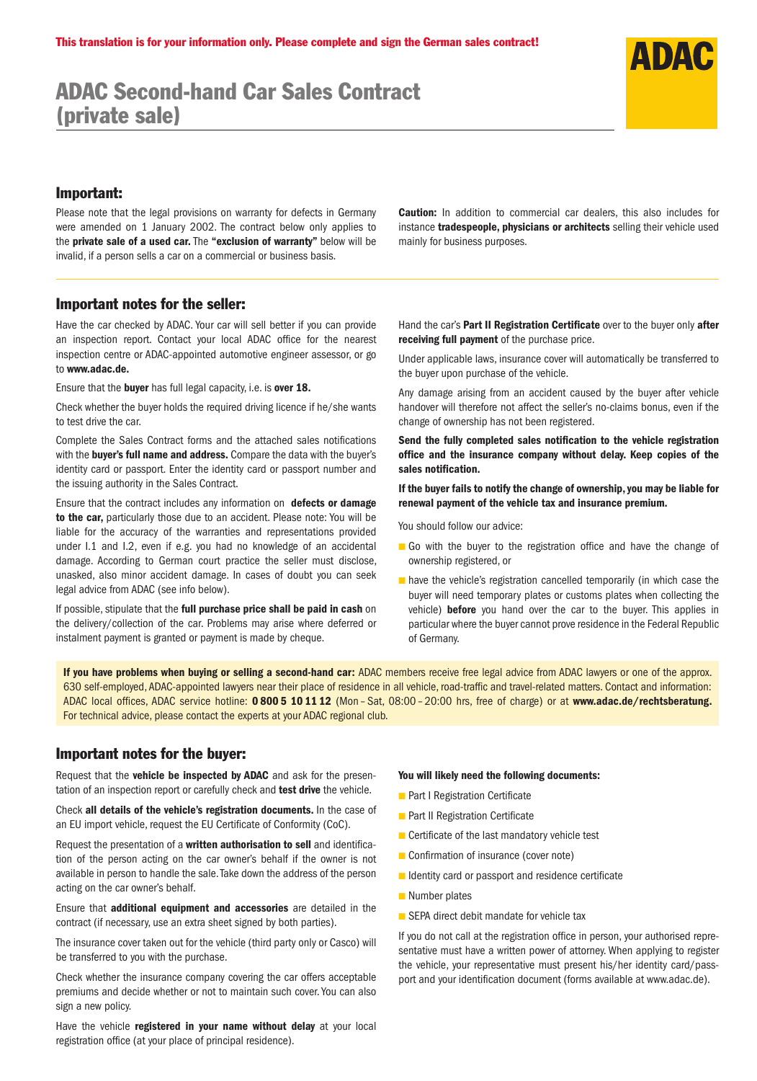## ADAC Second-hand Car Sales Contract (private sale)

## Important:

Please note that the legal provisions on warranty for defects in Germany were amended on 1 January 2002. The contract below only applies to the private sale of a used car. The "exclusion of warranty" below will be invalid, if a person sells a car on a commercial or business basis.

Caution: In addition to commercial car dealers, this also includes for instance **tradespeople, physicians or architects** selling their vehicle used mainly for business purposes.

## Important notes for the seller:

Have the car checked by ADAC. Your car will sell better if you can provide an inspection report. Contact your local ADAC office for the nearest inspection centre or ADAC-appointed automotive engineer assessor, or go to www.adac.de.

Ensure that the buyer has full legal capacity, i.e. is over 18.

Check whether the buyer holds the required driving licence if he/she wants to test drive the car.

Complete the Sales Contract forms and the attached sales notifications with the buyer's full name and address. Compare the data with the buyer's identity card or passport. Enter the identity card or passport number and the issuing authority in the Sales Contract.

Ensure that the contract includes any information on defects or damage to the car, particularly those due to an accident. Please note: You will be liable for the accuracy of the warranties and representations provided under I.1 and I.2, even if e.g. you had no knowledge of an accidental damage. According to German court practice the seller must disclose, unasked, also minor accident damage. In cases of doubt you can seek legal advice from ADAC (see info below).

If possible, stipulate that the full purchase price shall be paid in cash on the delivery/collection of the car. Problems may arise where deferred or instalment payment is granted or payment is made by cheque.

Hand the car's Part II Registration Certificate over to the buyer only after receiving full payment of the purchase price.

Under applicable laws, insurance cover will automatically be transferred to the buyer upon purchase of the vehicle.

Any damage arising from an accident caused by the buyer after vehicle handover will therefore not affect the seller's no-claims bonus, even if the change of ownership has not been registered.

Send the fully completed sales notification to the vehicle registration office and the insurance company without delay. Keep copies of the sales notification.

If the buyer fails to notify the change of ownership, you may be liable for renewal payment of the vehicle tax and insurance premium.

You should follow our advice:

- Go with the buyer to the registration office and have the change of ownership registered, or
- have the vehicle's registration cancelled temporarily (in which case the buyer will need temporary plates or customs plates when collecting the vehicle) **before** you hand over the car to the buyer. This applies in particular where the buyer cannot prove residence in the Federal Republic of Germany.

If you have problems when buying or selling a second-hand car: ADAC members receive free legal advice from ADAC lawyers or one of the approx. 630 self-employed, ADAC-appointed lawyers near their place of residence in all vehicle, road-traffic and travel-related matters. Contact and information: ADAC local offices, ADAC service hotline: 08005 101112 (Mon-Sat, 08:00-20:00 hrs, free of charge) or at www.adac.de/rechtsberatung. For technical advice, please contact the experts at your ADAC regional club.

## Important notes for the buyer:

Request that the vehicle be inspected by ADAC and ask for the presentation of an inspection report or carefully check and test drive the vehicle.

Check all details of the vehicle's registration documents. In the case of an EU import vehicle, request the EU Certificate of Conformity (CoC).

Request the presentation of a written authorisation to sell and identification of the person acting on the car owner's behalf if the owner is not available in person to handle the sale. Take down the address of the person acting on the car owner's behalf.

Ensure that additional equipment and accessories are detailed in the contract (if necessary, use an extra sheet signed by both parties).

The insurance cover taken out for the vehicle (third party only or Casco) will be transferred to you with the purchase.

Check whether the insurance company covering the car offers acceptable premiums and decide whether or not to maintain such cover. You can also sign a new policy.

Have the vehicle registered in your name without delay at your local registration office (at your place of principal residence).

#### You will likely need the following documents:

- Part I Registration Certificate
- Part II Registration Certificate
- Certificate of the last mandatory vehicle test
- Confirmation of insurance (cover note)
- Identity card or passport and residence certificate
- Number plates
- SEPA direct debit mandate for vehicle tax

If you do not call at the registration office in person, your authorised representative must have a written power of attorney. When applying to register the vehicle, your representative must present his/her identity card/passport and your identification document (forms available at www.adac.de).

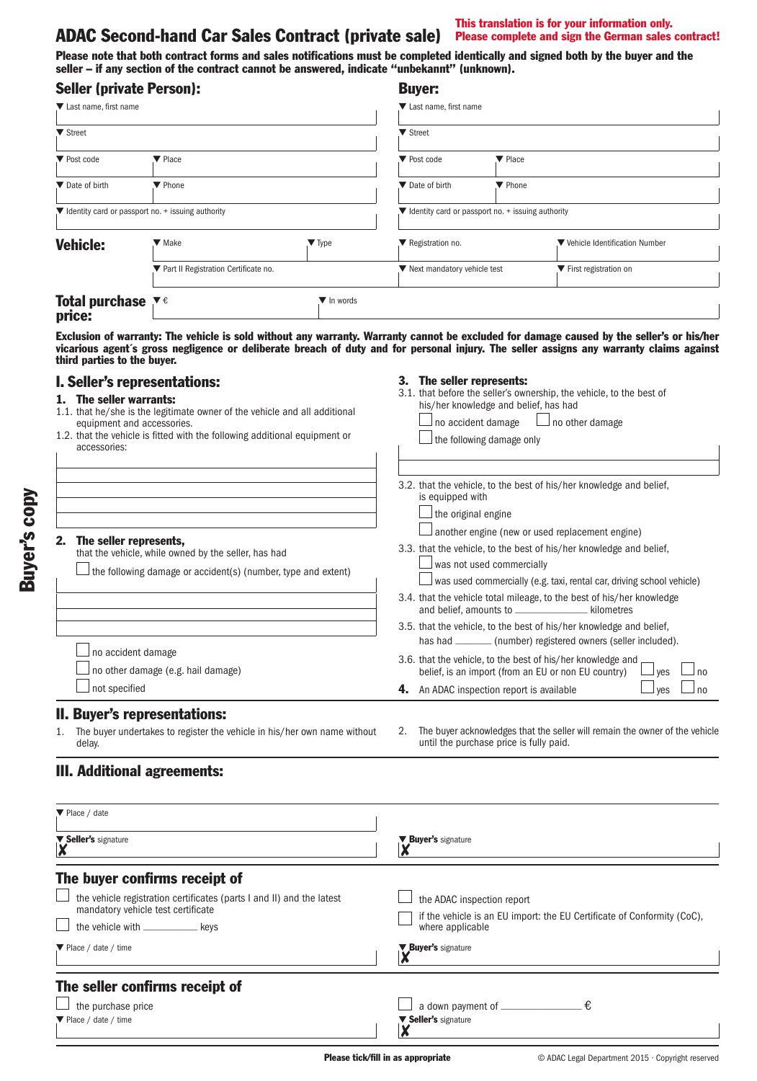# ADAC Second-hand Car Sales Contract (private sale) Please complete and sign the German sales contract!

Please note that both contract forms and sales notifications must be completed identically and signed both by the buyer and the seller – if any section of the contract cannot be answered, indicate "unbekannt" (unknown).

| <b>Seller (private Person):</b>                                        |                                        |                           | <b>Buyer:</b>                                                          |         |                                 |
|------------------------------------------------------------------------|----------------------------------------|---------------------------|------------------------------------------------------------------------|---------|---------------------------------|
| ▼ Last name, first name                                                |                                        |                           | ▼ Last name, first name                                                |         |                                 |
| ▼ Street                                                               |                                        |                           | ▼ Street                                                               |         |                                 |
| ▼ Post code                                                            | $\blacktriangledown$ Place             |                           | ▼ Post code                                                            | ▼ Place |                                 |
| ▼ Date of birth                                                        | ▼ Phone                                |                           | Date of birth                                                          | ▼ Phone |                                 |
| $\blacktriangledown$ Identity card or passport no. + issuing authority |                                        |                           | $\blacktriangledown$ Identity card or passport no. + issuing authority |         |                                 |
| <b>Vehicle:</b>                                                        | $\blacktriangledown$ Make              | $\blacktriangledown$ Type | Registration no.                                                       |         | ▼ Vehicle Identification Number |
|                                                                        | ▼ Part II Registration Certificate no. |                           | ▼ Next mandatory vehicle test                                          |         | ▼ First registration on         |
| <b>Total purchase</b> $\mathbf{v} \in \mathbf{v}$<br>price:            |                                        | ▼ In words                |                                                                        |         |                                 |

Exclusion of warranty: The vehicle is sold without any warranty. Warranty cannot be excluded for damage caused by the seller's or his/her vicarious agent´s gross negligence or deliberate breach of duty and for personal injury. The seller assigns any warranty claims against third parties to the buyer.

## I. Seller's representations:

The seller represents.

no accident damage

 $\Box$  not specified

#### 1. The seller warrants:

1.1. that he/she is the legitimate owner of the vehicle and all additional equipment and accessories. 1.2. that the vehicle is fitted with the following additional equipment or

|              |  |  | z. that the venicle is nitted with the ionowing additional ed |  |
|--------------|--|--|---------------------------------------------------------------|--|
| accessories: |  |  |                                                               |  |

that the vehicle, while owned by the seller, has had

#### 3. The seller represents:

3.1. that before the seller's ownership, the vehicle, to the best of his/her knowledge and belief, has had  $\Box$  no accident damage  $\Box$  no other damage  $\Box$  the following damage only

| 3.2. that the vehicle, to the best of his/her knowledge and belief.<br>is equipped with |
|-----------------------------------------------------------------------------------------|
| $\Box$ the original engine                                                              |
| $\Box$ another engine (new or used replacement engine)                                  |

- 3.3. that the vehicle, to the best of his/her knowledge and belief,  $\Box$  was not used commercially
	- $\perp$  was used commercially (e.g. taxi, rental car, driving school vehicle)
- 3.4. that the vehicle total mileage, to the best of his/her knowledge and belief, amounts to  $\_$
- 3.5. that the vehicle, to the best of his/her knowledge and belief, has had \_\_\_\_\_\_\_\_ (number) registered owners (seller included).
- 3.6. that the vehicle, to the best of his/her knowledge and belief, is an import (from an EU or non EU country)  $\Box$  yes  $\Box$  no **4.** An ADAC inspection report is available  $\Box$  yes  $\Box$  no
- 

## II. Buyer's representations:

no other damage (e.g. hail damage)

1. The buyer undertakes to register the vehicle in his/her own name without delay.

 $\Box$  the following damage or accident(s) (number, type and extent)

2. The buyer acknowledges that the seller will remain the owner of the vehicle until the purchase price is fully paid.

## III. Additional agreements:

| $\Psi$ Place / date                                                   |                                                                         |
|-----------------------------------------------------------------------|-------------------------------------------------------------------------|
| ▼ Seller's signature<br>$\overline{\mathbf{X}}$                       | ▼ Buyer's signature                                                     |
| The buyer confirms receipt of                                         |                                                                         |
| the vehicle registration certificates (parts I and II) and the latest | the ADAC inspection report                                              |
| mandatory vehicle test certificate                                    | if the vehicle is an EU import: the EU Certificate of Conformity (CoC), |
| the vehicle with _______________ kevs                                 | where applicable                                                        |
| ▼ Place / date / time                                                 | ▼ Buyer's signature                                                     |
| The seller confirms receipt of                                        |                                                                         |
| the purchase price                                                    | €                                                                       |
| ▼ Place / date / time                                                 | ▼ Seller's signature                                                    |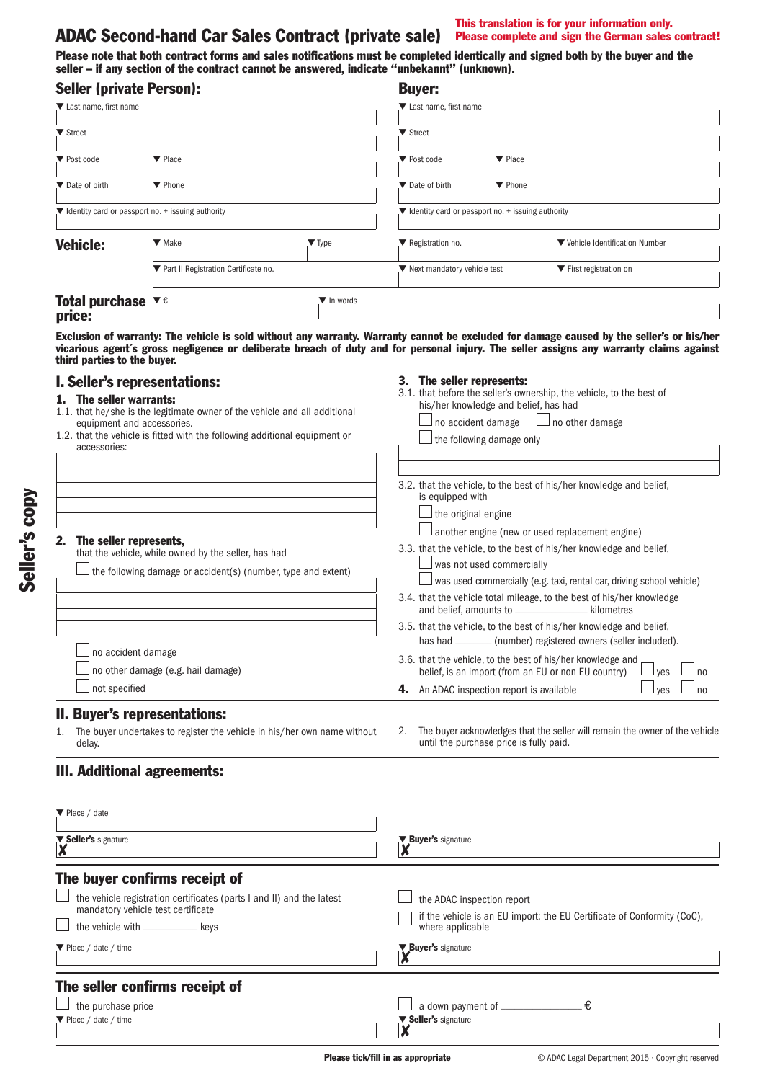# ADAC Second-hand Car Sales Contract (private sale) Please complete and sign the German sales contract!

This translation is for your information only.

Please note that both contract forms and sales notifications must be completed identically and signed both by the buyer and the seller – if any section of the contract cannot be answered, indicate "unbekannt" (unknown).

| <b>Seller (private Person):</b>                                        |                                        |                           | <b>Buyer:</b>                                       |                            |                                 |
|------------------------------------------------------------------------|----------------------------------------|---------------------------|-----------------------------------------------------|----------------------------|---------------------------------|
| ▼ Last name, first name                                                |                                        |                           | Last name, first name                               |                            |                                 |
| ▼ Street                                                               |                                        |                           | ▼ Street                                            |                            |                                 |
| ▼ Post code                                                            | $\blacktriangledown$ Place             |                           | ▼ Post code                                         | $\blacktriangledown$ Place |                                 |
| ▼ Date of birth                                                        | ▼ Phone                                |                           | Date of birth                                       | ▼ Phone                    |                                 |
| $\blacktriangledown$ Identity card or passport no. + issuing authority |                                        |                           | ▼ Identity card or passport no. + issuing authority |                            |                                 |
| <b>Vehicle:</b>                                                        | $\blacktriangledown$ Make              | $\blacktriangledown$ Type | Registration no.                                    |                            | ▼ Vehicle Identification Number |
|                                                                        | ▼ Part II Registration Certificate no. |                           | ▼ Next mandatory vehicle test                       |                            | ▼ First registration on         |
| <b>Total purchase</b> $\mathbf{v} \in \mathbf{v}$<br>price:            |                                        | ▼ In words                |                                                     |                            |                                 |

Exclusion of warranty: The vehicle is sold without any warranty. Warranty cannot be excluded for damage caused by the seller's or his/her vicarious agent´s gross negligence or deliberate breach of duty and for personal injury. The seller assigns any warranty claims against third parties to the buyer.

## I. Seller's representations:

The seller represents.

no accident damage

 $\Box$  not specified

#### 1. The seller warrants:

1.1. that he/she is the legitimate owner of the vehicle and all additional equipment and accessories. 1.2. that the vehicle is fitted with the following additional equipment or

|              |  |  | z. that the venicle is nitted with the ionowing additional ed |  |
|--------------|--|--|---------------------------------------------------------------|--|
| accessories: |  |  |                                                               |  |

that the vehicle, while owned by the seller, has had

#### 3. The seller represents:

3.1. that before the seller's ownership, the vehicle, to the best of his/her knowledge and belief, has had  $\Box$  no accident damage  $\Box$  no other damage  $\Box$  the following damage only

| 3.2. that the vehicle, to the best of his/her knowledge and belief.<br>is equipped with |
|-----------------------------------------------------------------------------------------|
| $\Box$ the original engine                                                              |
| $\Box$ another engine (new or used replacement engine)                                  |

- 3.3. that the vehicle, to the best of his/her knowledge and belief,  $\Box$  was not used commercially
	- $\Box$  was used commercially (e.g. taxi, rental car, driving school vehicle)
- 3.4. that the vehicle total mileage, to the best of his/her knowledge<br>and belief, amounts to \_\_\_\_\_\_\_\_\_\_\_\_\_\_\_\_\_kilometres and belief, amounts to  $\_$
- 3.5. that the vehicle, to the best of his/her knowledge and belief, has had \_\_\_\_\_\_\_\_ (number) registered owners (seller included).
- 3.6. that the vehicle, to the best of his/her knowledge and belief, is an import (from an EU or non EU country)  $\Box$  yes  $\Box$  no **4.** An ADAC inspection report is available  $\Box$  yes  $\Box$  no

II. Buyer's representations:

no other damage (e.g. hail damage)

1. The buyer undertakes to register the vehicle in his/her own name without delay.

 $\Box$  the following damage or accident(s) (number, type and extent)

2. The buyer acknowledges that the seller will remain the owner of the vehicle until the purchase price is fully paid.

## III. Additional agreements:

| $\Psi$ Place / date                                                   |                                                                         |
|-----------------------------------------------------------------------|-------------------------------------------------------------------------|
| ▼ Seller's signature<br>$\overline{\mathbf{X}}$                       | ▼ Buyer's signature                                                     |
| The buyer confirms receipt of                                         |                                                                         |
| the vehicle registration certificates (parts I and II) and the latest | the ADAC inspection report                                              |
| mandatory vehicle test certificate                                    | if the vehicle is an EU import: the EU Certificate of Conformity (CoC), |
| the vehicle with _______________ kevs                                 | where applicable                                                        |
| ▼ Place / date / time                                                 | ▼ Buyer's signature                                                     |
| The seller confirms receipt of                                        |                                                                         |
| the purchase price                                                    | €                                                                       |
| ▼ Place / date / time                                                 | ▼ Seller's signature                                                    |